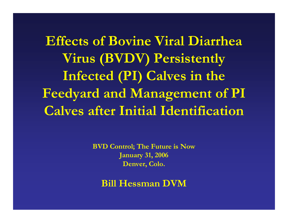**Effects of Bovine Viral Diarrhea Virus (BVDV) Persistently Infected (PI) Calves in the Feedyard and Management of PI Calves after Initial Identification**

> **BVD Control; The Future is Now January 31, 2006 Denver, Colo.**

**Bill Hessman DVM**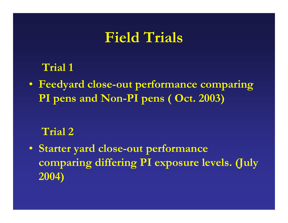#### **Field Trials**

#### **Trial 1**

• **Feedyard close-out performance comparing PI pens and Non-PI pens ( Oct. 2003)**

#### **Trial 2**

• **Starter yard close-out performance comparing differing PI exposure levels. (July 2004)**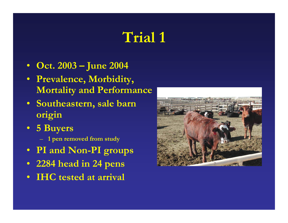# **Trial 1**

- $\bullet$ **Oct. 2003 – June 2004**
- $\bullet$  **Prevalence, Morbidity, Mortality and Performance**
- **Southeastern, sale barn origin**
- **5 Buyers**
	- **1 pen removed from study**
- $\bullet$ **PI and Non-PI groups**
- $\bullet$ **2284 head in 24 pens**
- •**IHC tested at arrival**

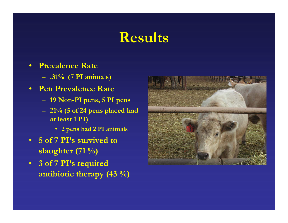# **Results**

- $\bullet$  **Prevalence Rate**
	- **.31% (7 PI animals)**
- **Pen Prevalence Rate**
	- **19 Non-PI pens, 5 PI pens**
	- **21% (5 of 24 pens placed had at least 1 PI)**
		- **2 pens had 2 PI animals**
- **5 of 7 PI's survived to slaughter (71 %)**
- **3 of 7 PI's required antibiotic therapy (43 %)**

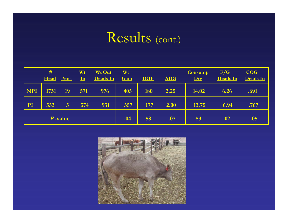# Results (cont.)

|            | #<br>Head | Pens           | Wt<br>${\bf \underline{In}}$ | Wt Out<br>Deads In | Wt<br>Gain | <b>DOF</b> | <b>ADG</b> | Consump<br>$\mathbf{Dry}$ | F/G<br>Deads In | <b>COG</b><br>Deads In |
|------------|-----------|----------------|------------------------------|--------------------|------------|------------|------------|---------------------------|-----------------|------------------------|
| <b>NPI</b> | 1731      | 19             | 571                          | 976                | 405        | 180        | 2.25       | 14.02                     | 6.26            | .691                   |
| PI         | 553       | $\overline{5}$ | 574                          | 931                | 357        | 177        | 2.00       | 13.75                     | 6.94            | .767                   |
| $P$ -value |           |                |                              | .04                | .58        | .07        | .53        | .02                       | .05             |                        |

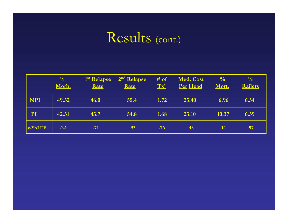## Results (cont.)

|            | $\frac{0}{0}$<br>Morb. | 1 <sup>st</sup> Relapse<br>Rate | 2 <sup>nd</sup> Relapse<br>Rate | # of<br>Tx' | Med. Cost<br>Per Head | $\frac{0}{0}$<br>Mort. | $\frac{0}{0}$<br><b>Railers</b> |
|------------|------------------------|---------------------------------|---------------------------------|-------------|-----------------------|------------------------|---------------------------------|
| <b>NPI</b> | 49.52                  | 46.0                            | 55.4                            | 1.72        | 25.40                 | 6.96                   | 6.34                            |
| PI         | 42.31                  | 43.7                            | 54.8                            | 1.68        | 23.10                 | 10.37                  | 6.39                            |
| $p$ -VALUE | .22                    | .71                             | .93                             | .76         | .43                   | .14                    | .97                             |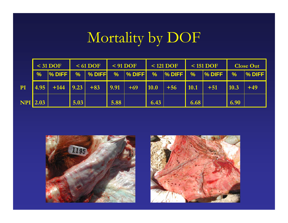# Mortality by DOF

|                 |               | $31$ DOF        |      | $<$ 61 DOF                       |      | $<$ 91 DOF |      | $< 121$ DOF |                    | $<$ 151 DOF |              | <b>Close Out</b> |
|-----------------|---------------|-----------------|------|----------------------------------|------|------------|------|-------------|--------------------|-------------|--------------|------------------|
|                 | $\frac{9}{6}$ | $\sqrt{2}$ DIFF |      |                                  |      |            |      |             |                    |             | $\vert \%$   | <b>N</b> % DIFF  |
| PI              | 4.95          |                 |      | $+144$   9.23   +83   9.91   +69 |      |            | 10.0 | $+56$       | $\vert 10.1 \vert$ | $+51$       | $\vert$ 10.3 | $+49$            |
| <b>NPI</b> 2.03 |               |                 | 5.03 |                                  | 5.88 |            | 6.43 |             | 6.68               |             | 6.90         |                  |



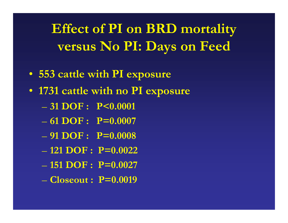**Effect of PI on BRD mortality versus No PI: Days on Feed**

- **553 cattle with PI exposure**
- **1731 cattle with no PI exposure**
	- **31 DOF : P<0.0001**
	- **61 DOF : P=0.0007**
	- **91 DOF : P=0.0008**
	- **121 DOF : P=0.0022**
	- **151 DOF : P=0.0027**
	- **Closeout : P=0.0019**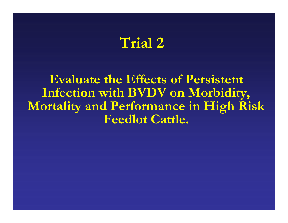#### **Trial 2**

**Evaluate the Effects of Persistent Infection with BVDV on Morbidity, Mortality and Performance in High Risk Feedlot Cattle.**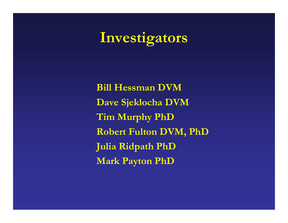# **Investigators**

**Bill Hessman DVM Dave Sjeklocha DVM Tim Murphy PhD Robert Fulton DVM, PhD Julia Ridpath PhD Mark Payton PhD**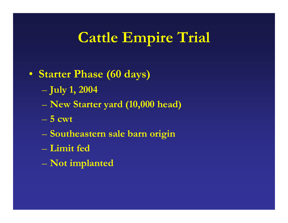# **Cattle Empire Trial**

- **Starter Phase (60 days)**
	- **July 1, 2004**
	- **New Starter yard (10,000 head)**
	- **5 cwt**
	- **Southeastern sale barn origin**
	- **Limit fed**
	- **Not implanted**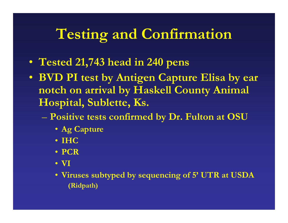# **Testing and Confirmation**

- **Tested 21,743 head in 240 pens**
- **BVD PI test by Antigen Capture Elisa by ear notch on arrival by Haskell County Animal Hospital, Sublette, Ks.**
	- **Positive tests confirmed by Dr. Fulton at OSU**
		- **Ag Capture**
		- **IHC**
		- **PCR**
		- **VI**
		- **Viruses subtyped by sequencing of 5' UTR at USDA (Ridpath)**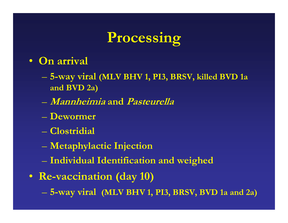# **Processing**

#### • **On arrival**

- **5-way viral (MLV BHV 1, PI3, BRSV, killed BVD 1a and BVD 2a)**
- **Mannheimia and Pasteurella**
- **Dewormer**
- **Clostridial**
- **Metaphylactic Injection**
- **Individual Identification and weighed**
- **Re-vaccination (day 10)**
	- **5-way viral (MLV BHV 1, PI3, BRSV, BVD 1a and 2a)**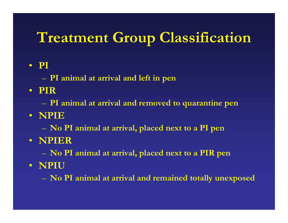# **Treatment Group Classification**

#### • **PI**

- **PI animal at arrival and left in pen**
- **PIR**
	- $\mathcal{L}_{\mathcal{A}}$ **PI animal at arrival and removed to quarantine pen**
- **NPIE**
	- **No PI animal at arrival, placed next to a PI pen**
- **NPIER**
	- $\mathcal{L}_{\mathcal{A}}$ **No PI animal at arrival, placed next to a PIR pen**
- **NPIU**
	- **No PI animal at arrival and remained totally unexposed**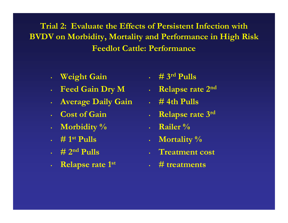**Trial 2: Evaluate the Effects of Persistent Infection with BVDV on Morbidity, Mortality and Performance in High Risk Feedlot Cattle: Performance**

- $\bullet$ **Weight Gain**
- $\bullet$ **Feed Gain Dry M**
- $\bullet$ **Average Daily Gain**
- **Cost of Gain**
- $\bullet$ **Morbidity %**
- **# 1st Pulls**
- **# 2nd Pulls**
- $\bullet$ **Relapse rate 1st**
- **# 3rd Pulls**
- **Relapse rate 2nd**
- **# 4th Pulls**
- **Relapse rate 3rd**
- **Railer %**
- **Mortality %**
- **Treatment cost**
- **# treatments**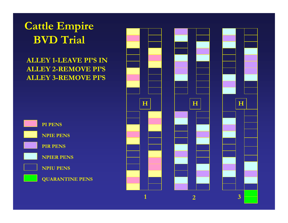#### **Cattle Empire BVD Trial**

#### **ALLEY 1-LEAVE PI'S IN ALLEY 2-REMOVE PI'S ALLEY 3-REMOVE PI'S**



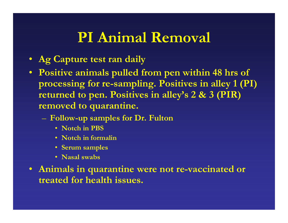## **PI Animal Removal**

- **Ag Capture test ran daily**
- **Positive animals pulled from pen within 48 hrs of processing for re-sampling. Positives in alley 1 (PI) returned to pen. Positives in alley's 2 & 3 (PIR) removed to quarantine.**
	- – **Follow-up samples for Dr. Fulton**
		- **Notch in PBS**
		- **Notch in formalin**
		- **Serum samples**
		- **Nasal swabs**
- **Animals in quarantine were not re-vaccinated or treated for health issues.**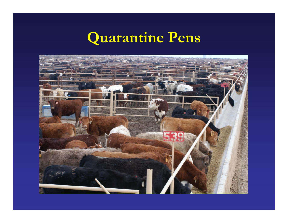#### **Quarantine Pens**

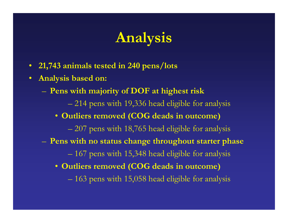# **Analysis**

- **21,743 animals tested in 240 pens/lots**
- $\bullet$  **Analysis based on:**
	- **Pens with majority of DOF at highest risk**
		- 214 pens with 19,336 head eligible for analysis
		- **Outliers removed (COG deads in outcome)**
			- 207 pens with 18,765 head eligible for analysis
	- **Pens with no status change throughout starter phase**
		- 167 pens with 15,348 head eligible for analysis
		- **Outliers removed (COG deads in outcome)**
			- 163 pens with 15,058 head eligible for analysis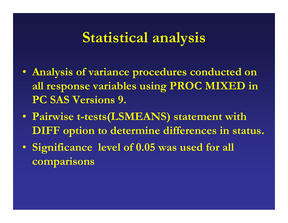#### **Statistical analysis**

- **Analysis of variance procedures conducted on all response variables using PROC MIXED in PC SAS Versions 9.**
- **Pairwise t-tests(LSMEANS) statement with DIFF option to determine differences in status.**
- **Significance level of 0.05 was used for all comparisons**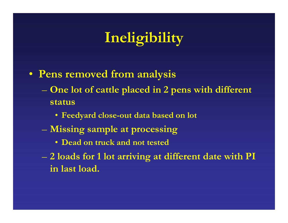# **Ineligibility**

- **Pens removed from analysis**
	- **One lot of cattle placed in 2 pens with different status**
		- **Feedyard close-out data based on lot**
	- **Missing sample at processing**
		- **Dead on truck and not tested**
	- **2 loads for 1 lot arriving at different date with PI in last load.**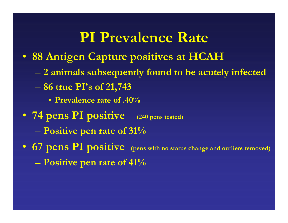#### **PI Prevalence Rate**

- **88 Antigen Capture positives at HCAH**
	- **2 animals subsequently found to be acutely infected**
	- **86 true PI's of 21,743**
		- **Prevalence rate of .40%**
- **74 pens PI positive (240 pens tested) Positive pen rate of 31%**
- **67 pens PI positive (pens with no status change and outliers removed)**
	- **Positive pen rate of 41%**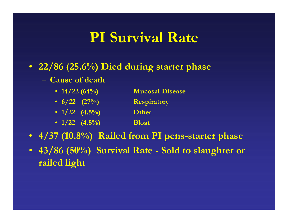## **PI Survival Rate**

- **22/86 (25.6%) Died during starter phase**
	- **Cause of death**
		- **14/22 (64%) Mucosal Disease**
		- **6/22 (27%) Respiratory**
		- **1/22 (4.5%) Other**
		- **1/22 (4.5%) Bloat**
- **4/37 (10.8%) Railed from PI pens-starter phase**
- **43/86 (50%) Survival Rate - Sold to slaughter or railed light**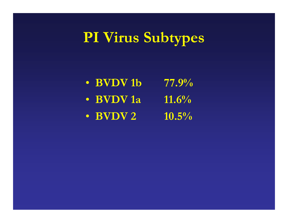# **PI Virus Subtypes**

| • BVDV 1b | $77.9\%$ |
|-----------|----------|
| • BVDV 1a | $11.6\%$ |
| • BVDV 2  | $10.5\%$ |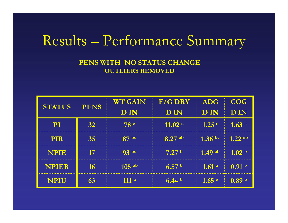#### Results – Performance Summary

#### **PENS WITH NO STATUS CHANGE OUTLIERS REMOVED**

| <b>STATUS</b> | <b>PENS</b> | <b>WT GAIN</b>   | $F/G$ DRY          | <b>ADG</b>        | <b>COG</b>        |
|---------------|-------------|------------------|--------------------|-------------------|-------------------|
|               |             | <b>DIN</b>       | <b>DIN</b>         | <b>DIN</b>        | <b>DIN</b>        |
| $\mathbf{PI}$ | 32          | 78c              | 11.02 <sup>a</sup> | $1.25$ $\degree$  | 1.63 <sup>a</sup> |
| <b>PIR</b>    | 35          | 87 <sup>bc</sup> | $8.27$ ab          | 1.36 bc           | $1.22$ ab         |
| <b>NPIE</b>   | 17          | 93 bc            | 7.27 <sup>b</sup>  | $1.49$ ab         | 1.02 <sup>b</sup> |
| <b>NPIER</b>  | 16          | $105$ ab         | 6.57 <sup>b</sup>  | 1.61 <sup>a</sup> | 0.91 <sup>b</sup> |
| <b>NPIU</b>   |             | 111a             | 6.44 <sup>b</sup>  | 1.65 <sup>a</sup> | 0.89 <sup>b</sup> |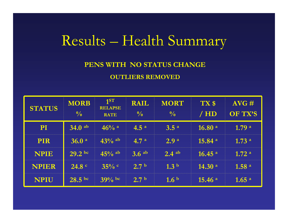#### Results – Health Summary

#### **PENS WITH NO STATUS CHANGE OUTLIERS REMOVED**

| <b>STATUS</b> | <b>MORB</b><br>$\frac{0}{0}$ | 1 <sup>ST</sup><br><b>RELAPSE</b><br><b>RATE</b> | <b>RAIL</b><br>$\frac{0}{0}$ | <b>MORT</b><br>$\frac{0}{0}$ | TX \$<br>/ HD         | $AVG \#$<br>OF TX'S |
|---------------|------------------------------|--------------------------------------------------|------------------------------|------------------------------|-----------------------|---------------------|
| <b>PI</b>     | $34.0$ ab                    | $46%$ a                                          | 4.5 <sup>a</sup>             | 3.5 <sup>a</sup>             | 16.80 a               | 1.79 <sup>a</sup>   |
| <b>PIR</b>    | 36.0 <sup>a</sup>            | $-43\%$ ab                                       | 4.7 <sup>a</sup>             | 2.9 <sup>a</sup>             | 15.84 <sup>a</sup>    | 1.73 <sup>a</sup>   |
| <b>NPIE</b>   | $29.2 \text{ bc}$            | $-45\%$ ab                                       | $3.6$ ab                     | $2.4$ ab                     | $16.45$ <sup>al</sup> | 1.72 <sup>a</sup>   |
| <b>NPIER</b>  | 24.8 <sup>c</sup>            | $35\%$ c                                         | 2.7 <sup>b</sup>             | 1.3 <sup>b</sup>             | 14.30 a               | 1.58 <sup>a</sup>   |
| <b>NPIU</b>   | $28.5~{\rm bc}$              | $39\%$ bc                                        | 2.7 <sup>b</sup>             | 1.6 <sup>b</sup>             | 15.46 <sup>a</sup>    | 1.65 <sup>a</sup>   |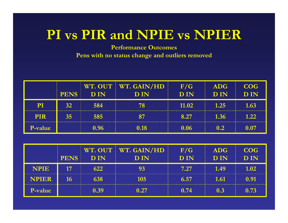#### **PI vs PIR and NPIE vs NPIER**

**Performance Outcomes Pens with no status change and outliers removed**

|            | <b>PENS</b>     | DIN            | WT. OUT   WT. GAIN/HD<br><b>DIN</b> | F/G<br><b>DIN</b> | <b>ADG</b><br><b>DIN</b> | COG.<br><b>DIN</b> |
|------------|-----------------|----------------|-------------------------------------|-------------------|--------------------------|--------------------|
| PI         | 32 <sub>1</sub> | 584            | 78                                  | 11.02             | 1.25                     | 1.63               |
| <b>PIR</b> | 35 <sub>1</sub> | 585            |                                     | 8.27              | 1.36                     | 122                |
| P-value    |                 | $0.96^{\circ}$ | 0.18                                | 0.06              | 02                       |                    |

|              | <b>PENS</b>     | $\overline{D}$ IN | WT. OUT   WT. GAIN/HD<br>$\mathbf{D}$ IN | F/G<br><b>DIN</b> | ADG<br><b>DIN</b> | <b>COG</b><br><b>DIN</b> |
|--------------|-----------------|-------------------|------------------------------------------|-------------------|-------------------|--------------------------|
| <b>NPIE</b>  |                 | 622               |                                          | 7.27              | 1.49              | 1.02                     |
| <b>NPIER</b> | 16 <sup>1</sup> | 638               | 105                                      | 6.57              | 1.61              | 0.91                     |
| P-value      |                 | 0.39              | 0.27                                     | 0.74              | 03                | 0.73                     |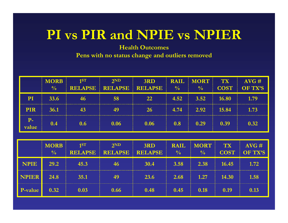#### **PI vs PIR and NPIE vs NPIER**

**Health Outcomes**

|             | <b>MORB</b><br>$\frac{0}{0}$ | 1ST | 2 <sub>ND</sub><br><b>RELAPSE RELAPSE RELAPSE</b> | 3RD          | $\sim 9/$        | $\sqrt{0}$         |            | <b>RAIL MORT TX AVG #</b><br>COST OF TX'S |
|-------------|------------------------------|-----|---------------------------------------------------|--------------|------------------|--------------------|------------|-------------------------------------------|
| PI          | 33.6                         | 46  | 58                                                | $22^{\circ}$ | 4.52             | $3.52 \quad 16.80$ |            | 1.79                                      |
| <b>PIR</b>  | 36.1                         | 43  |                                                   | 26           | 4.74             |                    | 2.92 15.84 | 1.73                                      |
| P-<br>value | 0.4                          | 0.6 | 0.06                                              | 0.06         | 0.8 <sub>1</sub> | 0.29               | 0.39       | 0.32                                      |

|             | <b>MORB</b><br>$\frac{1}{2}$ | 1ST  | 2 <sub>ND</sub><br><b>RELAPSE RELAPSE RELAPSE</b> | 3RD         | <b>RAIL</b><br>$\frac{0}{0}$ | MORT  <br>$\frac{0}{0}$ | <b>ATX</b> | $AVG \#$<br>COST OF TX'S |
|-------------|------------------------------|------|---------------------------------------------------|-------------|------------------------------|-------------------------|------------|--------------------------|
| <b>NPIE</b> | 29.2                         | 45.3 | 46                                                | <b>30.4</b> |                              | $3.58$ 2.38             | 16.45      | 1.72                     |
| NPIER       | 24.8                         | 35.1 | 49                                                | 23.6        | 2.68                         | $-1.27$                 | 14.30      | 1.58                     |
| P-value     | 0.32                         | 0.03 | 0.66                                              | 0.48        | 0.45                         | 0.18                    | 0.19       | 0.13                     |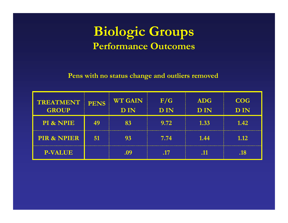#### **Biologic Groups Performance Outcomes**

| <b>TREATMENT</b><br><b>GROUP</b> | <b>PENS</b> | <b>WT GAIN</b><br><b>DIN</b> | F/G<br><b>DIN</b> | <b>ADG</b><br><b>DIN</b> | <b>COG</b><br><b>DIN</b> |
|----------------------------------|-------------|------------------------------|-------------------|--------------------------|--------------------------|
| PI & NPIE                        |             |                              | 9.72              | 1.33                     | 1.42                     |
| <b>PIR &amp; NPIER</b>           | 51          | 93                           | 7.74              | 1.44                     | 1.12                     |
| <b>P-VALUE</b>                   |             |                              | <b>AV</b>         | .11                      | .18                      |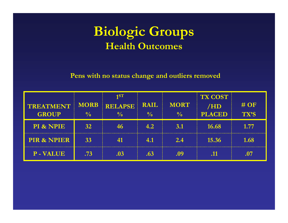#### **Biologic Groups Health Outcomes**

|                        |                 | 1ST            |               |               | <b>TX COST</b> |        |
|------------------------|-----------------|----------------|---------------|---------------|----------------|--------|
| <b>TREATMENT</b>       | <b>MORB</b>     | <b>RELAPSE</b> | <b>RAIL</b>   | <b>MORT</b>   | /HD            | $#$ OF |
| <b>GROUP</b>           | $\frac{0}{0}$   |                | $\frac{0}{0}$ | $\frac{0}{0}$ | <b>PLACED</b>  | TX'S   |
| PI & NPIE              | 32 <sub>2</sub> | 46             | 4.2           | 3.1           | 16.68          | 1.77   |
| <b>PIR &amp; NPIER</b> | 33              |                | 4.1           | 2.4           | 15.36          | 1.68   |
| <b>P-VALUE</b>         | .73             | .03            | .63           | .09           |                | .07    |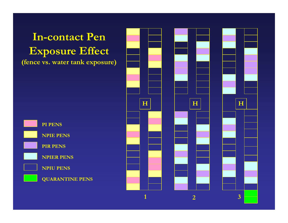**In-contact Pen Exposure Effect (fence vs. water tank exposure)**



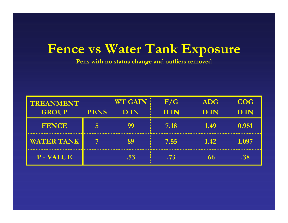#### **Fence vs Water Tank Exposure**

| <b>TREANMENT</b>  |             | <b>WT GAIN</b> | F/G        | <b>ADG</b> | <b>COG</b> |
|-------------------|-------------|----------------|------------|------------|------------|
| <b>GROUP</b>      | <b>PENS</b> | <b>DIN</b>     | <b>DIN</b> | <b>DIN</b> | <b>DIN</b> |
| <b>FENCE</b>      |             |                | 7.18       | 1.49       | 0.951      |
| <b>WATER TANK</b> |             |                | 7.55       | 1.42       | 1.097      |
| <b>P-VALUE</b>    |             |                | .73        | .66        |            |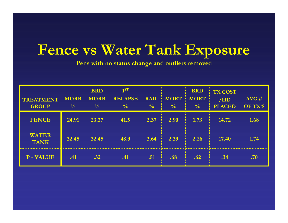## **Fence vs Water Tank Exposure**

| TREATMENT<br><b>GROUP</b>   | <b>MORB</b><br>$\frac{0}{0}$ | <b>BRD</b><br><b>MORB</b><br>$\frac{0}{0}$ | 1 <sup>ST</sup><br><b>RELAPSE</b><br>$\frac{0}{0}$ | <b>RAIL</b><br>$\frac{0}{0}$ | <b>MORT</b><br>$\sqrt{0}$ | <b>BRD</b><br><b>MORT</b><br>$\frac{0}{0}$ | <b>TX COST</b><br>/HD<br><b>PLACED</b> | AVG#<br>OF TX'S |
|-----------------------------|------------------------------|--------------------------------------------|----------------------------------------------------|------------------------------|---------------------------|--------------------------------------------|----------------------------------------|-----------------|
| <b>FENCE</b>                | 24.91                        | 23.37                                      | 41.5                                               | 2.37                         | 2.90                      | 1.73                                       | 14.72                                  | 1.68            |
| <b>WATER</b><br><b>TANK</b> | 32.45                        | 32.45                                      | 48.3                                               | 3.64                         | 2.39                      | 2.26                                       | 17.40                                  | 1.74            |
| <b>P-VALUE</b>              | .41                          | $.32\,$                                    | .41                                                | .51                          | .68                       | .62                                        | .34                                    | .70             |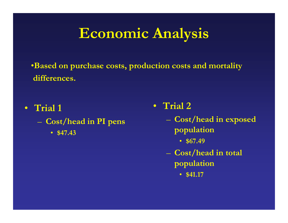# **Economic Analysis**

•**Based on purchase costs, production costs and mortality differences.**

- **Trial 1**
	- $\mathcal{L}_{\mathcal{A}}$  **Cost/head in PI pens**
		- **\$47.43**
- **Trial 2**
	- **Cost/head in exposed population**
		- **\$67.49**
	- **Cost/head in total population**
		- **\$41.17**